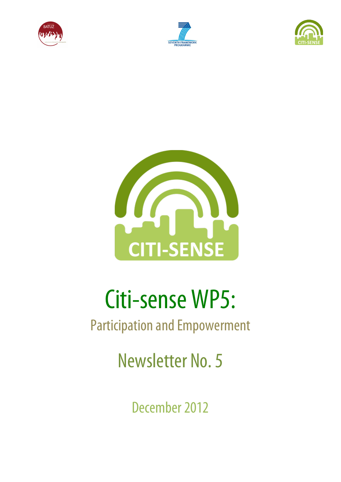







# Citi-sense WP5:

# Participation and Empowerment

Newsletter No. 5

December 2012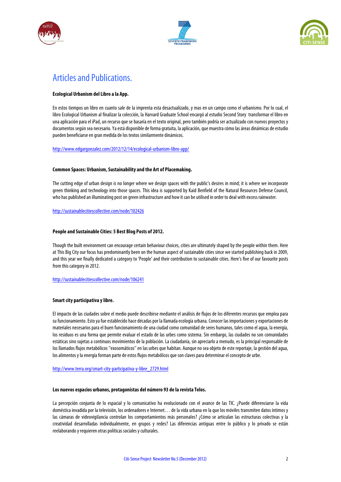





## Articles and Publications.

#### **Ecological Urbanism del Libro a la App.**

En estos tiempos un libro en cuanto sale de la imprenta esta desactualizado, y mas en un campo como el urbanismo. Por lo cual, el libro Ecological Urbanism al finalizar la colección, la Harvard Graduate School encargó al estudio Second Story transformar el libro en una aplicación para el iPad, un recurso que se basaría en el texto original, pero también podría ser actualizado con nuevos proyectos y documentos según sea necesario. Ya está disponible de forma gratuita, la aplicación, que muestra cómo las áreas dinámicas de estudio pueden beneficiarse en gran medida de los textos similarmente dinámicos.

http://www.edgargonzalez.com/2012/12/14/ecological-urbanism-libro-app/

#### **Common Spaces: Urbanism, Sustainability and the Art of Placemaking.**

The cutting edge of urban design is no longer where we design spaces with the public's desires in mind; it is where we incorporate green thinking and technology into those spaces. This idea is supported by Kaid Benfield of the Natural Resources Defense Council, who has published an illuminating post on green infrastructure and how it can be utilised in order to deal with excess rainwater.

http://sustainablecitiescollective.com/node/102426

#### **People and Sustainable Cities: 5 Best Blog Posts of 2012.**

Though the built environment can encourage certain behaviour choices, cities are ultimately shaped by the people within them. Here at This Big City our focus has predominantly been on the human aspect of sustainable cities since we started publishing back in 2009, and this year we finally dedicated a category to 'People' and their contribution to sustainable cities. Here's five of our favourite posts from this category in 2012.

http://sustainablecitiescollective.com/node/106241

#### **Smart city participativa y libre.**

El impacto de las ciudades sobre el medio puede describirse mediante el análisis de flujos de los diferentes recursos que emplea para su funcionamiento. Esto ya fue establecido hace décadas por la llamada ecología urbana. Conocer las importaciones y exportaciones de materiales necesarios para el buen funcionamiento de una ciudad como comunidad de seres humanos, tales como el agua, la energía, los residuos es una forma que permite evaluar el estado de las urbes como sistema. Sin embargo, las ciudades no son comunidades estáticas sino sujetas a continuos movimientos de la población. La ciudadanía, sin apreciarlo a menudo, es la principal responsable de los llamados flujos metabólicos ''exosomáticos'' en las urbes que habitan. Aunque no sea objeto de este reportaje, la gestión del agua, los alimentos y la energía forman parte de estos flujos metabólicos que son claves para determinar el concepto de urbe.

#### http://www.terra.org/smart-city-participativa-y-libre\_2729.html

#### **Los nuevos espacios urbanos, protagonistas del número 93 de la revista Telos.**

La percepción conjunta de lo espacial y lo comunicativo ha evolucionado con el avance de las TIC. ¿Puede diferenciarse la vida doméstica invadida por la televisión, los ordenadores e Internet… de la vida urbana en la que los móviles transmiten datos íntimos y las cámaras de videovigilancia controlan los comportamientos más personales? ¿Cómo se articulan las estructuras colectivas y la creatividad desarrolladas individualmente, en grupos y redes? Las diferencias antiguas entre lo público y lo privado se están reelaborando y requieren otras políticas sociales y culturales.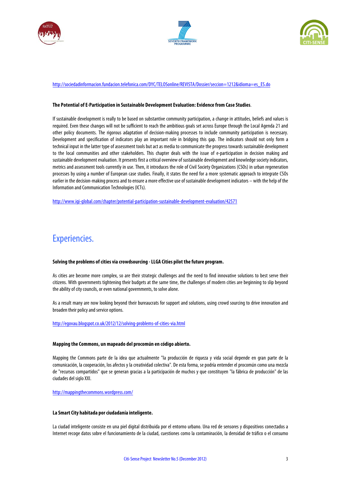





#### http://sociedadinformacion.fundacion.telefonica.com/DYC/TELOSonline/REVISTA/Dossier/seccion=1212&idioma=es\_ES.do

#### **The Potential of E-Participation in Sustainable Development Evaluation: Evidence from Case Studies**.

If sustainable development is really to be based on substantive community participation, a change in attitudes, beliefs and values is required. Even these changes will not be sufficient to reach the ambitious goals set across Europe through the Local Agenda 21 and other policy documents. The rigorous adaptation of decision-making processes to include community participation is necessary. Development and specification of indicators play an important role in bridging this gap. The indicators should not only form a technical input in the latter type of assessment tools but act as media to communicate the progress towards sustainable development to the local communities and other stakeholders. This chapter deals with the issue of e-participation in decision making and sustainable development evaluation. It presents first a critical overview of sustainable development and knowledge society indicators, metrics and assessment tools currently in use. Then, it introduces the role of Civil Society Organizations (CSOs) in urban regeneration processes by using a number of European case studies. Finally, it states the need for a more systematic approach to integrate CSOs earlier in the decision-making process and to ensure a more effective use of sustainable development indicators – with the help of the Information and Communication Technologies (ICTs).

http://www.igi-global.com/chapter/potential-participation-sustainable-development-evaluation/42571

### Experiencies.

#### **Solving the problems of cities via crowdsourcing -LLGA Cities pilot the future program.**

As cities are become more complex, so are their strategic challenges and the need to find innovative solutions to best serve their citizens. With governments tightening their budgets at the same time, the challenges of modern cities are beginning to slip beyond the ability of city councils, or even national governments, to solve alone.

As a result many are now looking beyond their bureaucrats for support and solutions, using crowd sourcing to drive innovation and broaden their policy and service options.

#### http://egovau.blogspot.co.uk/2012/12/solving-problems-of-cities-via.html

#### **Mapping the Commons, un mapeado del procomún en código abierto.**

Mapping the Commons parte de la idea que actualmente "la producción de riqueza y vida social depende en gran parte de la comunicación, la cooperación, los afectos y la creatividad colectiva". De esta forma, se podría entender el procomún como una mezcla de "recursos compartidos" que se generan gracias a la participación de muchos y que constituyen "la fábrica de producción" de las ciudades del siglo XXI.

http://mappingthecommons.wordpress.com/

#### **La Smart City habitada por ciudadanía inteligente.**

La ciudad inteligente consiste en una piel digital distribuida por el entorno urbano. Una red de sensores y dispositivos conectados a Internet recoge datos sobre el funcionamiento de la ciudad, cuestiones como la contaminación, la densidad de tráfico o el consumo